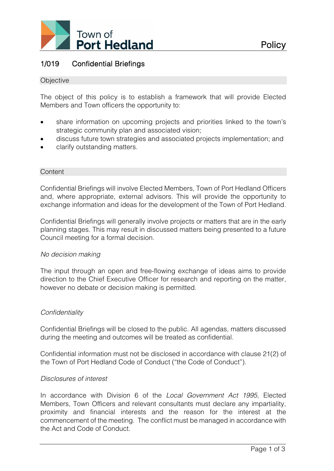

# 1/019 Confidential Briefings

#### **Objective**

The object of this policy is to establish a framework that will provide Elected Members and Town officers the opportunity to:

- share information on upcoming projects and priorities linked to the town's strategic community plan and associated vision;
- discuss future town strategies and associated projects implementation; and
- clarify outstanding matters.

#### **Content**

Confidential Briefings will involve Elected Members, Town of Port Hedland Officers and, where appropriate, external advisors. This will provide the opportunity to exchange information and ideas for the development of the Town of Port Hedland.

Confidential Briefings will generally involve projects or matters that are in the early planning stages. This may result in discussed matters being presented to a future Council meeting for a formal decision.

## *No decision making*

The input through an open and free-flowing exchange of ideas aims to provide direction to the Chief Executive Officer for research and reporting on the matter, however no debate or decision making is permitted.

## *Confidentiality*

Confidential Briefings will be closed to the public. All agendas, matters discussed during the meeting and outcomes will be treated as confidential.

Confidential information must not be disclosed in accordance with clause 21(2) of the Town of Port Hedland Code of Conduct ("the Code of Conduct")*.*

#### *Disclosures of interest*

In accordance with Division 6 of the *Local Government Act 1995*, Elected Members, Town Officers and relevant consultants must declare any impartiality, proximity and financial interests and the reason for the interest at the commencement of the meeting. The conflict must be managed in accordance with the Act and Code of Conduct.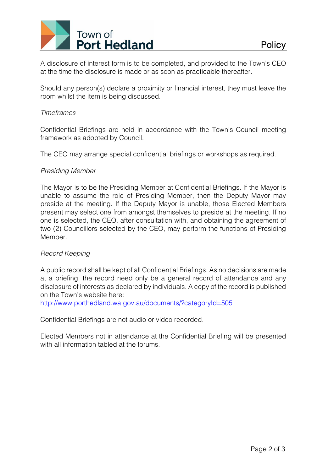

A disclosure of interest form is to be completed, and provided to the Town's CEO at the time the disclosure is made or as soon as practicable thereafter.

Should any person(s) declare a proximity or financial interest, they must leave the room whilst the item is being discussed.

## *Timeframes*

Confidential Briefings are held in accordance with the Town's Council meeting framework as adopted by Council.

The CEO may arrange special confidential briefings or workshops as required.

#### *Presiding Member*

The Mayor is to be the Presiding Member at Confidential Briefings. If the Mayor is unable to assume the role of Presiding Member, then the Deputy Mayor may preside at the meeting. If the Deputy Mayor is unable, those Elected Members present may select one from amongst themselves to preside at the meeting. If no one is selected, the CEO, after consultation with, and obtaining the agreement of two (2) Councillors selected by the CEO, may perform the functions of Presiding Member.

## *Record Keeping*

A public record shall be kept of all Confidential Briefings. As no decisions are made at a briefing, the record need only be a general record of attendance and any disclosure of interests as declared by individuals. A copy of the record is published on the Town's website here:

<http://www.porthedland.wa.gov.au/documents/?categoryId=505>

Confidential Briefings are not audio or video recorded.

Elected Members not in attendance at the Confidential Briefing will be presented with all information tabled at the forums.